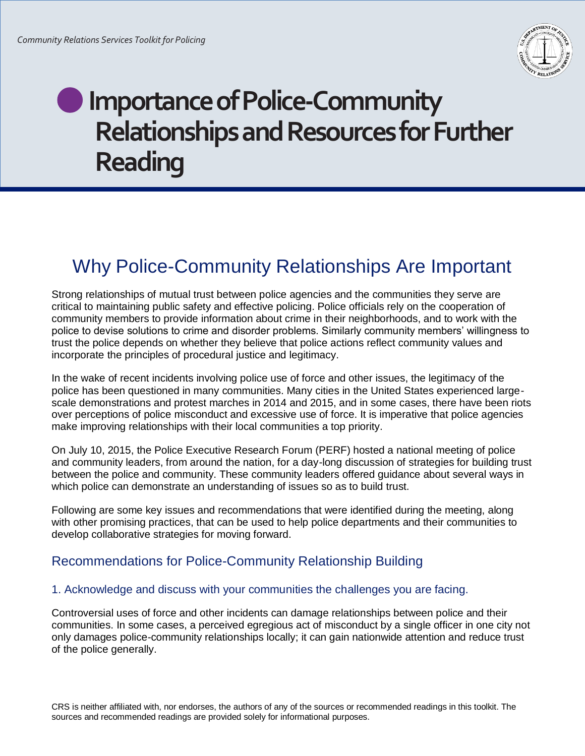

# **Importance of Police-Community Relationships and Resources for Further Reading**

## Why Police-Community Relationships Are Important

Strong relationships of mutual trust between police agencies and the communities they serve are critical to maintaining public safety and effective policing. Police officials rely on the cooperation of community members to provide information about crime in their neighborhoods, and to work with the police to devise solutions to crime and disorder problems. Similarly community members' willingness to trust the police depends on whether they believe that police actions reflect community values and incorporate the principles of procedural justice and legitimacy.

In the wake of recent incidents involving police use of force and other issues, the legitimacy of the police has been questioned in many communities. Many cities in the United States experienced largescale demonstrations and protest marches in 2014 and 2015, and in some cases, there have been riots over perceptions of police misconduct and excessive use of force. It is imperative that police agencies make improving relationships with their local communities a top priority.

On July 10, 2015, the Police Executive Research Forum (PERF) hosted a national meeting of police and community leaders, from around the nation, for a day-long discussion of strategies for building trust between the police and community. These community leaders offered guidance about several ways in which police can demonstrate an understanding of issues so as to build trust.

Following are some key issues and recommendations that were identified during the meeting, along with other promising practices, that can be used to help police departments and their communities to develop collaborative strategies for moving forward.

### Recommendations for Police-Community Relationship Building

#### 1. Acknowledge and discuss with your communities the challenges you are facing.

Controversial uses of force and other incidents can damage relationships between police and their communities. In some cases, a perceived egregious act of misconduct by a single officer in one city not only damages police-community relationships locally; it can gain nationwide attention and reduce trust of the police generally.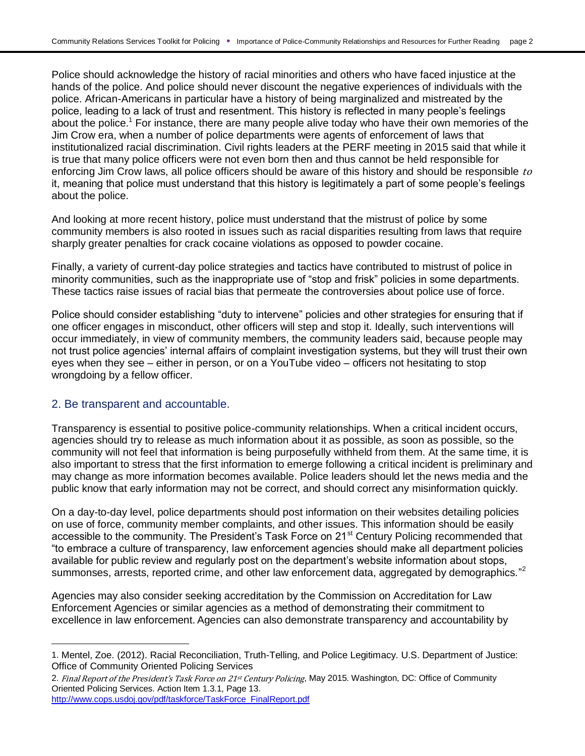Police should acknowledge the history of racial minorities and others who have faced injustice at the hands of the police. And police should never discount the negative experiences of individuals with the police. African-Americans in particular have a history of being marginalized and mistreated by the police, leading to a lack of trust and resentment. This history is reflected in many people's feelings about the police.<sup>1</sup> For instance, there are many people alive today who have their own memories of the Jim Crow era, when a number of police departments were agents of enforcement of laws that institutionalized racial discrimination. Civil rights leaders at the PERF meeting in 2015 said that while it is true that many police officers were not even born then and thus cannot be held responsible for enforcing Jim Crow laws, all police officers should be aware of this history and should be responsible to it, meaning that police must understand that this history is legitimately a part of some people's feelings about the police.

And looking at more recent history, police must understand that the mistrust of police by some community members is also rooted in issues such as racial disparities resulting from laws that require sharply greater penalties for crack cocaine violations as opposed to powder cocaine.

Finally, a variety of current-day police strategies and tactics have contributed to mistrust of police in minority communities, such as the inappropriate use of "stop and frisk" policies in some departments. These tactics raise issues of racial bias that permeate the controversies about police use of force.

Police should consider establishing "duty to intervene" policies and other strategies for ensuring that if one officer engages in misconduct, other officers will step and stop it. Ideally, such interventions will occur immediately, in view of community members, the community leaders said, because people may not trust police agencies' internal affairs of complaint investigation systems, but they will trust their own eyes when they see – either in person, or on a YouTube video – officers not hesitating to stop wrongdoing by a fellow officer.

#### 2. Be transparent and accountable.

l

Transparency is essential to positive police-community relationships. When a critical incident occurs, agencies should try to release as much information about it as possible, as soon as possible, so the community will not feel that information is being purposefully withheld from them. At the same time, it is also important to stress that the first information to emerge following a critical incident is preliminary and may change as more information becomes available. Police leaders should let the news media and the public know that early information may not be correct, and should correct any misinformation quickly.

On a day-to-day level, police departments should post information on their websites detailing policies on use of force, community member complaints, and other issues. This information should be easily accessible to the community. The President's Task Force on 21<sup>st</sup> Century Policing recommended that "to embrace a culture of transparency, law enforcement agencies should make all department policies available for public review and regularly post on the department's website information about stops, summonses, arrests, reported crime, and other law enforcement data, aggregated by demographics."<sup>2</sup>

Agencies may also consider seeking accreditation by the Commission on Accreditation for Law Enforcement Agencies or similar agencies as a method of demonstrating their commitment to excellence in law enforcement. Agencies can also demonstrate transparency and accountability by

<sup>1.</sup> Mentel, Zoe. (2012). Racial Reconciliation, Truth-Telling, and Police Legitimacy. U.S. Department of Justice: Office of Community Oriented Policing Services

<sup>2.</sup> Final Report of the President's Task Force on 21st Century Policing, May 2015. Washington, DC: Office of Community Oriented Policing Services. Action Item 1.3.1, Page 13. [http://www.cops.usdoj.gov/pdf/taskforce/TaskForce\\_FinalReport.pdf](http://www.cops.usdoj.gov/pdf/taskforce/TaskForce_FinalReport.pdf)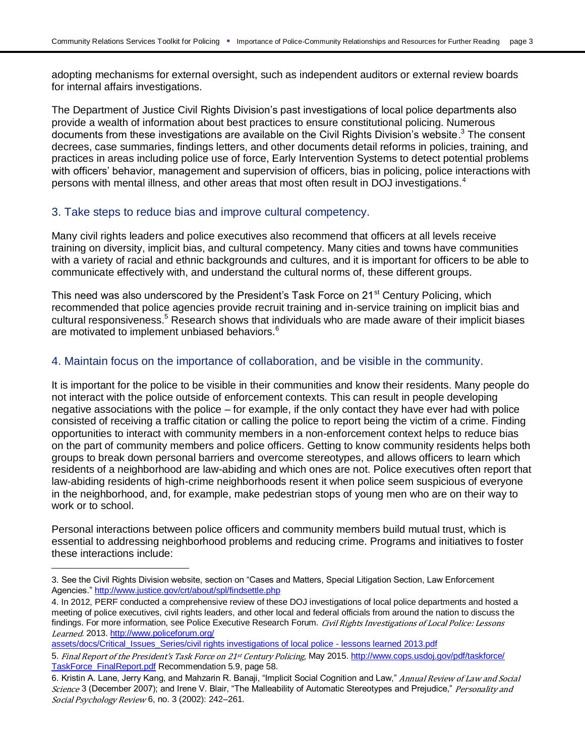adopting mechanisms for external oversight, such as independent auditors or external review boards for internal affairs investigations.

The Department of Justice Civil Rights Division's past investigations of local police departments also provide a wealth of information about best practices to ensure constitutional policing. Numerous documents from these investigations are available on the Civil Rights Division's website.<sup>3</sup> The consent decrees, case summaries, findings letters, and other documents detail reforms in policies, training, and practices in areas including police use of force, Early Intervention Systems to detect potential problems with officers' behavior, management and supervision of officers, bias in policing, police interactions with persons with mental illness, and other areas that most often result in DOJ investigations.<sup>4</sup>

#### 3. Take steps to reduce bias and improve cultural competency.

Many civil rights leaders and police executives also recommend that officers at all levels receive training on diversity, implicit bias, and cultural competency. Many cities and towns have communities with a variety of racial and ethnic backgrounds and cultures, and it is important for officers to be able to communicate effectively with, and understand the cultural norms of, these different groups.

This need was also underscored by the President's Task Force on 21<sup>st</sup> Century Policing, which recommended that police agencies provide recruit training and in-service training on implicit bias and cultural responsiveness.<sup>5</sup> Research shows that individuals who are made aware of their implicit biases are motivated to implement unbiased behaviors.<sup>6</sup>

#### 4. Maintain focus on the importance of collaboration, and be visible in the community.

It is important for the police to be visible in their communities and know their residents. Many people do not interact with the police outside of enforcement contexts. This can result in people developing negative associations with the police – for example, if the only contact they have ever had with police consisted of receiving a traffic citation or calling the police to report being the victim of a crime. Finding opportunities to interact with community members in a non-enforcement context helps to reduce bias on the part of community members and police officers. Getting to know community residents helps both groups to break down personal barriers and overcome stereotypes, and allows officers to learn which residents of a neighborhood are law-abiding and which ones are not. Police executives often report that law-abiding residents of high-crime neighborhoods resent it when police seem suspicious of everyone in the neighborhood, and, for example, make pedestrian stops of young men who are on their way to work or to school.

Personal interactions between police officers and community members build mutual trust, which is essential to addressing neighborhood problems and reducing crime. Programs and initiatives to foster these interactions include:

[assets/docs/Critical\\_Issues\\_Series/civil rights investigations of local police -](http://www.policeforum.org/assets/docs/Critical_Issues_Series/civil%20rights%20investigations%20of%20local%20police%20-%20lessons%20learned%202013.pdf) lessons learned 2013.pdf

 $\overline{\phantom{0}}$ 

<sup>3.</sup> See the Civil Rights Division website, section on "Cases and Matters, Special Litigation Section, Law Enforcement Agencies."<http://www.justice.gov/crt/about/spl/findsettle.php>

<sup>4.</sup> In 2012, PERF conducted a comprehensive review of these DOJ investigations of local police departments and hosted a meeting of police executives, civil rights leaders, and other local and federal officials from around the nation to discuss the findings. For more information, see Police Executive Research Forum. Civil Rights Investigations of Local Police: Lessons Learned*.* 2013. [http://www.policeforum.org/](http://www.policeforum.org/assets/docs/Critical_Issues_Series/civil%20rights%20investigations%20of%20local%20police%20-%20lessons%20learned%202013.pdf)

<sup>5.</sup> Final Report of the President's Task Force on 21st Century Policing, May 2015[. http://www.cops.usdoj.gov/pdf/taskforce/](http://www.cops.usdoj.gov/pdf/taskforce/TaskForce_FinalReport.pdf) [TaskForce\\_FinalReport.pdf](http://www.cops.usdoj.gov/pdf/taskforce/TaskForce_FinalReport.pdf) Recommendation 5.9, page 58.

<sup>6.</sup> Kristin A. Lane, Jerry Kang, and Mahzarin R. Banaji, "Implicit Social Cognition and Law," Annual Review of Law and Social Science 3 (December 2007); and Irene V. Blair, "The Malleability of Automatic Stereotypes and Prejudice," Personality and Social Psychology Review 6, no. 3 (2002): 242-261.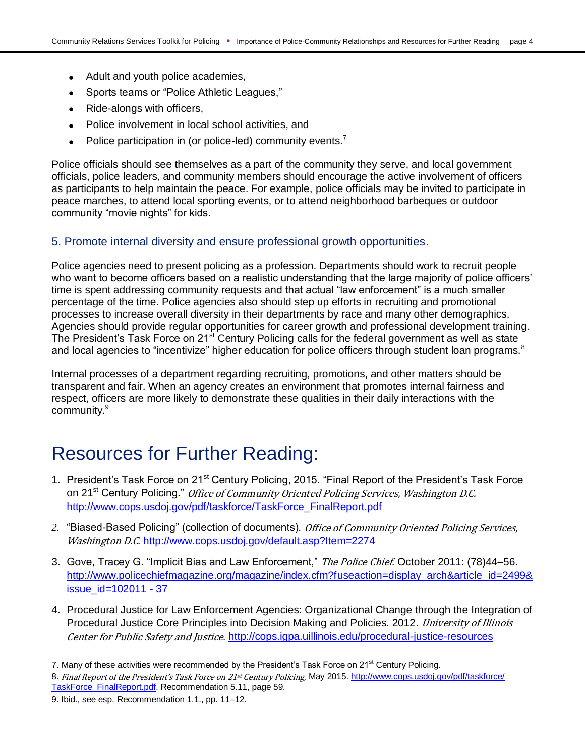- Adult and youth police academies,
- Sports teams or "Police Athletic Leagues,"
- Ride-alongs with officers,
- Police involvement in local school activities, and
- Police participation in (or police-led) community events.<sup>7</sup>

Police officials should see themselves as a part of the community they serve, and local government officials, police leaders, and community members should encourage the active involvement of officers as participants to help maintain the peace. For example, police officials may be invited to participate in peace marches, to attend local sporting events, or to attend neighborhood barbeques or outdoor community "movie nights" for kids.

#### 5. Promote internal diversity and ensure professional growth opportunities.

Police agencies need to present policing as a profession. Departments should work to recruit people who want to become officers based on a realistic understanding that the large majority of police officers' time is spent addressing community requests and that actual "law enforcement" is a much smaller percentage of the time. Police agencies also should step up efforts in recruiting and promotional processes to increase overall diversity in their departments by race and many other demographics. Agencies should provide regular opportunities for career growth and professional development training. The President's Task Force on 21<sup>st</sup> Century Policing calls for the federal government as well as state and local agencies to "incentivize" higher education for police officers through student loan programs.<sup>8</sup>

Internal processes of a department regarding recruiting, promotions, and other matters should be transparent and fair. When an agency creates an environment that promotes internal fairness and respect, officers are more likely to demonstrate these qualities in their daily interactions with the community.<sup>9</sup>

### Resources for Further Reading:

- 1. President's Task Force on 21<sup>st</sup> Century Policing, 2015. "Final Report of the President's Task Force on 21<sup>st</sup> Century Policing." Office of Community Oriented Policing Services, Washington D.C. [http://www.cops.usdoj.gov/pdf/taskforce/TaskForce\\_FinalReport.pdf](http://www.cops.usdoj.gov/pdf/taskforce/TaskForce_FinalReport.pdf)
- *2.* "Biased-Based Policing" (collection of documents). Office of Community Oriented Policing Services, Washington D.C. http://www.cops.usdoj.gov/default.asp?ltem=2274
- 3. Gove, Tracey G. "Implicit Bias and Law Enforcement," The Police Chief. October 2011: (78)44-56. [http://www.policechiefmagazine.org/magazine/index.cfm?fuseaction=display\\_arch&article\\_id=2499&](http://www.policechiefmagazine.org/magazine/index.cfm?fuseaction=display_arch&article_id=2499&issue_id=102011#37) [issue\\_id=102011 -](http://www.policechiefmagazine.org/magazine/index.cfm?fuseaction=display_arch&article_id=2499&issue_id=102011#37) 37
- 4. Procedural Justice for Law Enforcement Agencies: Organizational Change through the Integration of Procedural Justice Core Principles into Decision Making and Policies. 2012. *University of Illinois* Center for Public Safety and Justice. <http://cops.igpa.uillinois.edu/procedural-justice-resources>

l

<sup>7.</sup> Many of these activities were recommended by the President's Task Force on 21<sup>st</sup> Century Policing.

<sup>8.</sup> Final Report of the President's Task Force on 21st Century Policing, May 2015[. http://www.cops.usdoj.gov/pdf/taskforce/](http://www.cops.usdoj.gov/pdf/taskforce/TaskForce_FinalReport.pdf) [TaskForce\\_FinalReport.pdf.](http://www.cops.usdoj.gov/pdf/taskforce/TaskForce_FinalReport.pdf) Recommendation 5.11, page 59.

<sup>9.</sup> Ibid., see esp. Recommendation 1.1., pp. 11–12.